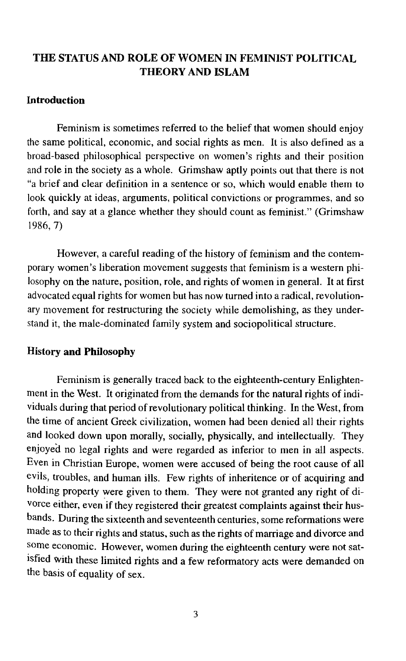# THE STATUS AND ROLE OF WOMEN IN FEMINIST POLITICAL THEORY AND ISLAM

#### Introduction

Feminism is sometimes referred to the belief that women should enjoy the same political, economic, and social rights as men. It is also defined as a broad-based philosophical perspective on women's rights and their position and role in the society as a whole. Grimshaw aptly points out that there is not "a brief and clear definition in a sentence or so, which would enable them to look quickly at ideas, arguments, political convictions or programmes, and so forth, and say at a glance whether they should count as feminist." (Grimshaw 1986,7)

However, a careful reading of the history of feminism and the contemporary women's liberation movement suggests that feminism is a western philosophy on the nature, position, role, and rights of women in general. It at first advocated equal rights for women but has now turned into a radical, revolutionary movement for restructuring the society while demolishing, as they understand it, the male-dominated family system and sociopolitical structure.

#### History and Philosophy

Feminism is generally traced back to the eighteenth-century Enlightenment in the West. It originated from the demands for the natural rights of individuals during that period of revolutionary political thinking. In the West, from the time of ancient Greek civilization, women had been denied all their rights and looked down upon morally, socially, physically, and intellectually. They enjoyed no legal rights and were regarded as inferior to men in all aspects. Even in Christian Europe, women were accused of being the root cause of all evils, troubles, and human ills. Few rights of inheritence or of acquiring and holding property were given to them. They were not granted any right of divorce either, even if they registered their greatest complaints against their husbands. During the sixteenth and seventeenth centuries, some reformations were made as to their rights and status, such as the rights of marriage and divorce and some economic. However, women during the eighteenth century were not satisfied with these limited rights and a few reformatory acts were demanded on the basis of equality of sex.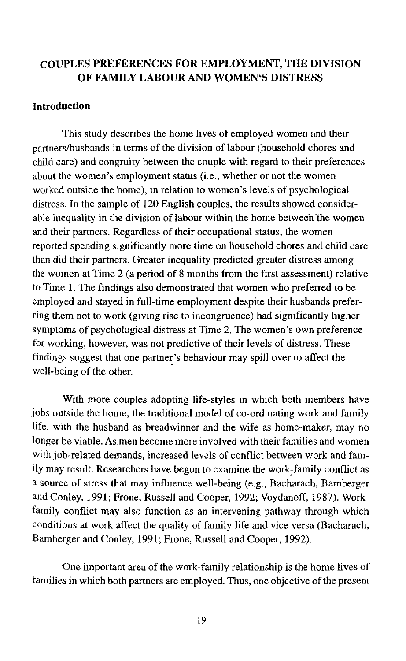## COUPLES PREFERENCES FOR EMPLOYMENT, THE DIVISION OF FAMILY LABOUR AND WOMEN'S DISTRESS

### Introduction

This study describes the home lives of employed women and their partners/husbands in terms of the division of labour (household chores and child care) and congruity between the couple with regard to their preferences about the women's employment status (i.e., whether or not the women worked outside the home), in relation to women's levels of psychological distress. In the sample of 120 English couples, the results showed considerable inequality in the division of labour within the home between the womenand their partners. Regardless of their occupational status, the women reported spending significantly more time on household chores and child care than did their partners. Greater inequality predicted greater distress among the women at Time 2 (a period of 8 months from the first assessment) relative to Time 1. The findings also demonstrated that women who preferred to be employed and stayed in full-time employment despite their husbands preferring them not to work (giving rise to incongruence) had significantly higher symptoms of psychological distress at Time 2. The women's own preference for working, however, was not predictive of their levels of distress. These findings suggest that one partner's behaviour may spill over to affect the well-being of the other.

With more couples adopting life-styles in which both members have jobs outside the home, the traditional model of co-ordinating work and family life, with the husband as breadwinner and the wife as home-maker, may no longer be viable. As men become more involved with their families and women with job-related demands, increased levels of conflict between work and family may result. Researchers have begun to examine the work:family conflict as a source of stress that may influence well-being (e.g., Bacharach, Bamberger and Conley, 1991; Frone, Russell and Cooper, 1992; Voydanoff, 1987). Workfamily conflict may also function as an intervening pathway through which conditions at work affect the quality of family life and vice versa (Bacharach, Bamberger and Conley, 1991; Frone, Russell and Cooper, 1992).

:One important area of the work-family relationship is the home lives of families in which both partners are employed. Thus, one objective of the present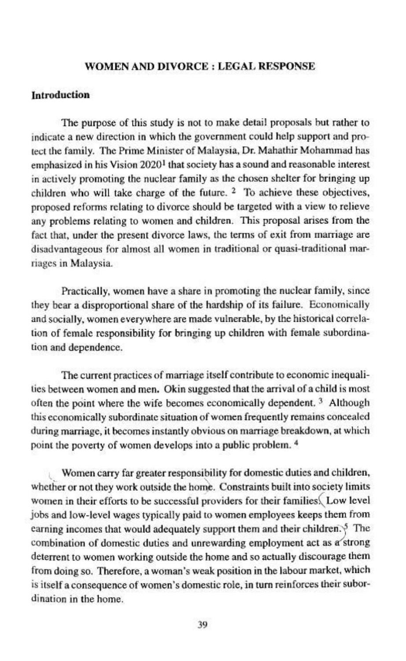### **WOMEN AND DIVORCE : LEGAL RESPONSE**

## **Introduction**

The purpose of this study is not to make detail proposals but rather to indicate a new direction in which the government could help support and protect the family. The Prime Minister of Malaysia, Dr. Mahathir Mohammad has emphasized in his Vision 2020<sup>1</sup> that society has a sound and reasonable interest in actively promoting the nuclear family as the chosen shelter for bringing up children who will take charge of the future. <sup>2</sup> To achieve these objectives, proposed reforms relating to divorce should be targeted with a view to relieve any problems relating to women and children. This proposal arises from the fact that, under the present divorce laws, the terms of exit from marriage are disadvantageous for almost all women in traditional or quasi-traditional marriages in Malaysia.

Practically, women have a share in promoting the nuclear family, since they bear a disproportional share of the hardship of its failure. Economically and socially, women everywhere are made vulnerable, by the historical correlation of female responsibility for bringing up children with female subordination and dependence.

The current practices of marriage itself contribute to economic inequalities between women and men. Okin suggested that the arrival of a child is most often the point where the wife becomes economically dependent.<sup>3</sup> Although this economically subordinate situation of women frequently remains concealed during marriage, it becomes instantly obvious on marriage breakdown, at which point the poverty of women develops into a public problem. <sup>4</sup>

Women carry far greater responsibility for domestic duties and children, whether or not they work outside the home. Constraints built into society limits women in their efforts to be successful providers for their families Low level jobs and low-level wages typically paid to women employees keeps them from earning incomes that would adequately support them and their children.<sup>5</sup> The combination of domestic duties and unrewarding employment act as a strong deterrent to women working outside the home and so actually discourage them from doing so. Therefore, a woman's weak position in the labour market, which is itself a consequence of women's domestic role, in turn reinforces their subordination in the home.